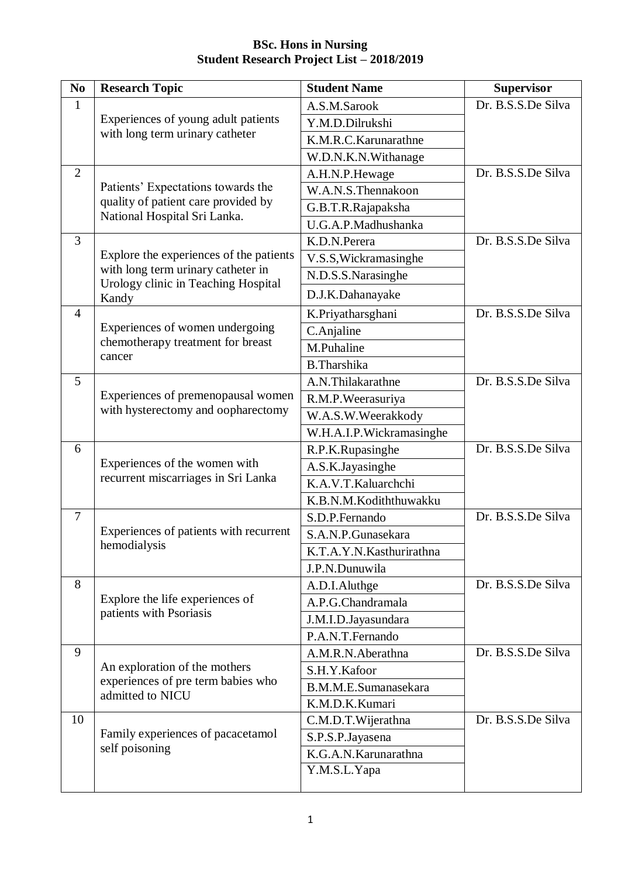| N <sub>0</sub>                | <b>Research Topic</b>                                                     | <b>Student Name</b>      | <b>Supervisor</b>  |
|-------------------------------|---------------------------------------------------------------------------|--------------------------|--------------------|
| $\mathbf{1}$                  |                                                                           | A.S.M.Sarook             | Dr. B.S.S.De Silva |
|                               | Experiences of young adult patients<br>with long term urinary catheter    | Y.M.D.Dilrukshi          |                    |
|                               |                                                                           | K.M.R.C.Karunarathne     |                    |
|                               |                                                                           | W.D.N.K.N.Withanage      |                    |
| 2                             | Patients' Expectations towards the                                        | A.H.N.P.Hewage           | Dr. B.S.S.De Silva |
|                               |                                                                           | W.A.N.S.Thennakoon       |                    |
|                               | quality of patient care provided by<br>National Hospital Sri Lanka.       | G.B.T.R.Rajapaksha       |                    |
|                               |                                                                           | U.G.A.P.Madhushanka      |                    |
| $\overline{3}$                |                                                                           | K.D.N.Perera             | Dr. B.S.S.De Silva |
|                               | Explore the experiences of the patients                                   | V.S.S, Wickramasinghe    |                    |
|                               | with long term urinary catheter in<br>Urology clinic in Teaching Hospital | N.D.S.S.Narasinghe       |                    |
|                               | Kandy                                                                     | D.J.K.Dahanayake         |                    |
| $\overline{4}$                |                                                                           | K.Priyatharsghani        | Dr. B.S.S.De Silva |
|                               | Experiences of women undergoing                                           | C.Anjaline               |                    |
|                               | chemotherapy treatment for breast<br>cancer                               | M.Puhaline               |                    |
|                               |                                                                           | <b>B.Tharshika</b>       |                    |
| 5                             |                                                                           | A.N.Thilakarathne        | Dr. B.S.S.De Silva |
|                               | Experiences of premenopausal women                                        | R.M.P.Weerasuriya        |                    |
|                               | with hysterectomy and oopharectomy                                        | W.A.S.W.Weerakkody       |                    |
|                               |                                                                           | W.H.A.I.P.Wickramasinghe |                    |
| 6                             |                                                                           | R.P.K.Rupasinghe         | Dr. B.S.S.De Silva |
|                               | Experiences of the women with                                             | A.S.K.Jayasinghe         |                    |
|                               | recurrent miscarriages in Sri Lanka                                       | K.A.V.T.Kaluarchchi      |                    |
|                               |                                                                           | K.B.N.M.Kodiththuwakku   |                    |
| $\overline{7}$                |                                                                           | S.D.P.Fernando           | Dr. B.S.S.De Silva |
|                               | Experiences of patients with recurrent                                    | S.A.N.P.Gunasekara       |                    |
|                               | hemodialysis                                                              | K.T.A.Y.N.Kasthurirathna |                    |
|                               |                                                                           | J.P.N.Dunuwila           |                    |
| 8                             |                                                                           | A.D.I.Aluthge            | Dr. B.S.S.De Silva |
|                               | Explore the life experiences of                                           | A.P.G.Chandramala        |                    |
|                               | patients with Psoriasis                                                   | J.M.I.D.Jayasundara      |                    |
|                               |                                                                           | P.A.N.T. Fernando        |                    |
| 9                             |                                                                           | A.M.R.N.Aberathna        | Dr. B.S.S.De Silva |
| An exploration of the mothers |                                                                           | S.H.Y.Kafoor             |                    |
|                               | experiences of pre term babies who<br>admitted to NICU                    | B.M.M.E.Sumanasekara     |                    |
|                               |                                                                           | K.M.D.K.Kumari           |                    |
| 10                            |                                                                           | C.M.D.T.Wijerathna       | Dr. B.S.S.De Silva |
|                               | Family experiences of pacacetamol                                         | S.P.S.P.Jayasena         |                    |
|                               | self poisoning                                                            | K.G.A.N. Karunarathna    |                    |
|                               |                                                                           | Y.M.S.L.Yapa             |                    |
|                               |                                                                           |                          |                    |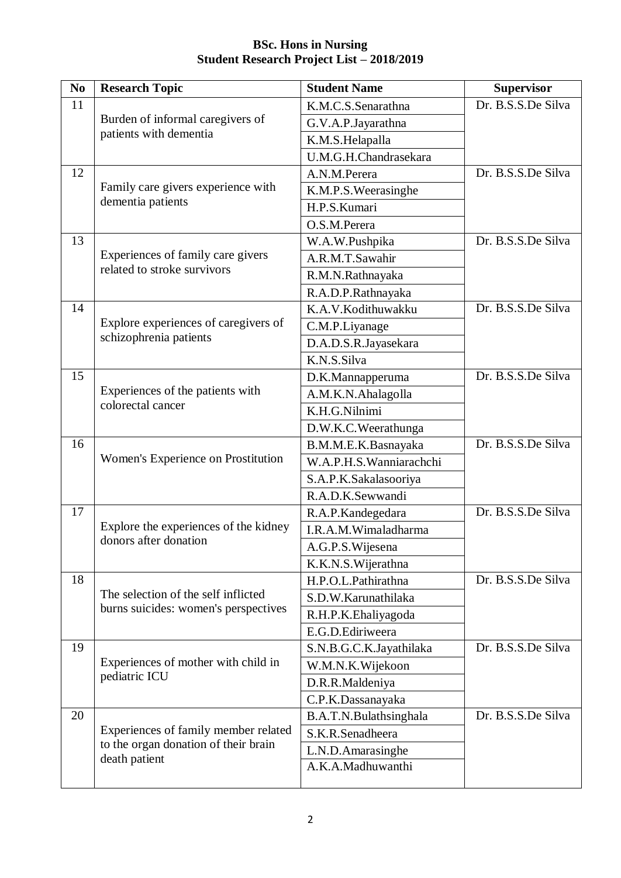| N <sub>0</sub> | <b>Research Topic</b>                                      | <b>Student Name</b>     | <b>Supervisor</b>  |
|----------------|------------------------------------------------------------|-------------------------|--------------------|
| 11             |                                                            | K.M.C.S.Senarathna      | Dr. B.S.S.De Silva |
|                | Burden of informal caregivers of<br>patients with dementia | G.V.A.P.Jayarathna      |                    |
|                |                                                            | K.M.S.Helapalla         |                    |
|                |                                                            | U.M.G.H.Chandrasekara   |                    |
| 12             | Family care givers experience with                         | A.N.M.Perera            | Dr. B.S.S.De Silva |
|                |                                                            | K.M.P.S. Weerasinghe    |                    |
|                | dementia patients                                          | H.P.S.Kumari            |                    |
|                |                                                            | O.S.M.Perera            |                    |
| 13             |                                                            | W.A.W.Pushpika          | Dr. B.S.S.De Silva |
|                | Experiences of family care givers                          | A.R.M.T.Sawahir         |                    |
|                | related to stroke survivors                                | R.M.N.Rathnayaka        |                    |
|                |                                                            | R.A.D.P.Rathnayaka      |                    |
| 14             |                                                            | K.A.V.Kodithuwakku      | Dr. B.S.S.De Silva |
|                | Explore experiences of caregivers of                       | C.M.P.Liyanage          |                    |
|                | schizophrenia patients                                     | D.A.D.S.R.Jayasekara    |                    |
|                |                                                            | K.N.S.Silva             |                    |
| 15             |                                                            | D.K.Mannapperuma        | Dr. B.S.S.De Silva |
|                | Experiences of the patients with                           | A.M.K.N.Ahalagolla      |                    |
|                | colorectal cancer                                          | K.H.G.Nilnimi           |                    |
|                |                                                            | D.W.K.C.Weerathunga     |                    |
| 16             |                                                            | B.M.M.E.K.Basnayaka     | Dr. B.S.S.De Silva |
|                | Women's Experience on Prostitution                         | W.A.P.H.S.Wanniarachchi |                    |
|                |                                                            | S.A.P.K.Sakalasooriya   |                    |
|                |                                                            | R.A.D.K.Sewwandi        |                    |
| 17             |                                                            | R.A.P.Kandegedara       | Dr. B.S.S.De Silva |
|                | Explore the experiences of the kidney                      | I.R.A.M.Wimaladharma    |                    |
|                | donors after donation                                      | A.G.P.S. Wijesena       |                    |
|                |                                                            | K.K.N.S.Wijerathna      |                    |
| 18             |                                                            | H.P.O.L.Pathirathna     | Dr. B.S.S.De Silva |
|                | The selection of the self inflicted                        | S.D.W.Karunathilaka     |                    |
|                | burns suicides: women's perspectives                       | R.H.P.K.Ehaliyagoda     |                    |
|                |                                                            | E.G.D.Ediriweera        |                    |
| 19             |                                                            | S.N.B.G.C.K.Jayathilaka | Dr. B.S.S.De Silva |
|                | Experiences of mother with child in                        | W.M.N.K.Wijekoon        |                    |
|                | pediatric ICU                                              | D.R.R.Maldeniya         |                    |
|                |                                                            | C.P.K.Dassanayaka       |                    |
| 20             |                                                            | B.A.T.N.Bulathsinghala  | Dr. B.S.S.De Silva |
|                | Experiences of family member related                       | S.K.R.Senadheera        |                    |
|                | to the organ donation of their brain<br>death patient      | L.N.D.Amarasinghe       |                    |
|                |                                                            | A.K.A.Madhuwanthi       |                    |
|                |                                                            |                         |                    |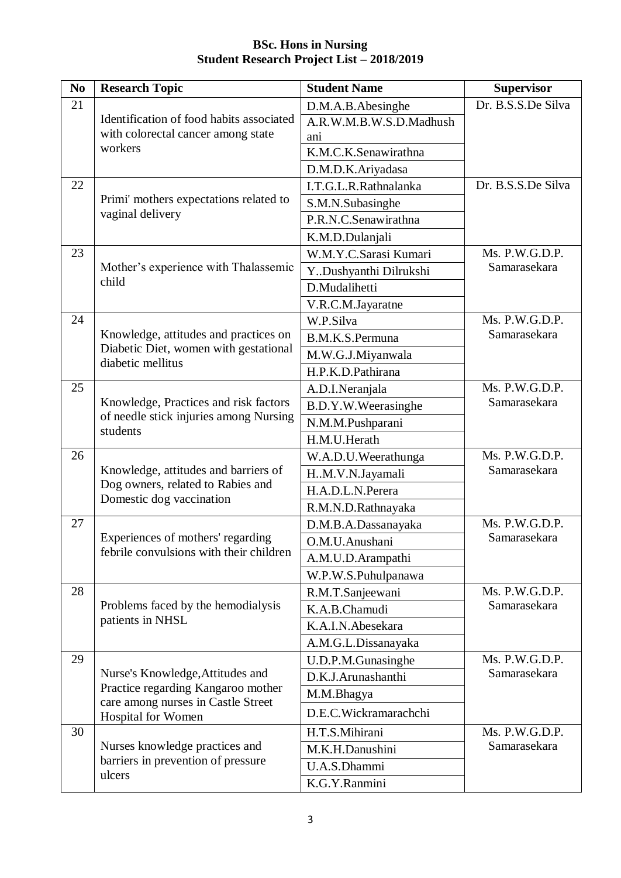| N <sub>0</sub> | <b>Research Topic</b>                                                           | <b>Student Name</b>     | <b>Supervisor</b>              |
|----------------|---------------------------------------------------------------------------------|-------------------------|--------------------------------|
| 21             |                                                                                 | D.M.A.B.Abesinghe       | Dr. B.S.S.De Silva             |
|                | Identification of food habits associated                                        | A.R.W.M.B.W.S.D.Madhush |                                |
|                | with colorectal cancer among state                                              | ani                     |                                |
|                | workers                                                                         | K.M.C.K.Senawirathna    |                                |
|                |                                                                                 | D.M.D.K.Ariyadasa       |                                |
| 22             |                                                                                 | I.T.G.L.R.Rathnalanka   | Dr. B.S.S.De Silva             |
|                | Primi' mothers expectations related to                                          | S.M.N.Subasinghe        |                                |
|                | vaginal delivery                                                                | P.R.N.C.Senawirathna    |                                |
|                |                                                                                 | K.M.D.Dulanjali         |                                |
| 23             |                                                                                 | W.M.Y.C.Sarasi Kumari   | Ms. P.W.G.D.P.                 |
|                | Mother's experience with Thalassemic                                            | Y. Dushyanthi Dilrukshi | Samarasekara                   |
|                | child                                                                           | D.Mudalihetti           |                                |
|                |                                                                                 | V.R.C.M.Jayaratne       |                                |
| 24             |                                                                                 | W.P.Silva               | Ms. P.W.G.D.P.                 |
|                | Knowledge, attitudes and practices on                                           | B.M.K.S.Permuna         | Samarasekara                   |
|                | Diabetic Diet, women with gestational<br>diabetic mellitus                      | M.W.G.J.Miyanwala       |                                |
|                |                                                                                 | H.P.K.D.Pathirana       |                                |
| 25             |                                                                                 | A.D.I.Neranjala         | Ms. P.W.G.D.P.<br>Samarasekara |
|                | Knowledge, Practices and risk factors<br>of needle stick injuries among Nursing | B.D.Y.W.Weerasinghe     |                                |
|                |                                                                                 | N.M.M.Pushparani        |                                |
|                | students                                                                        | H.M.U.Herath            |                                |
| 26             |                                                                                 | W.A.D.U.Weerathunga     | Ms. P.W.G.D.P.                 |
|                | Knowledge, attitudes and barriers of                                            | HM.V.N.Jayamali         | Samarasekara                   |
|                | Dog owners, related to Rabies and                                               | H.A.D.L.N.Perera        |                                |
|                | Domestic dog vaccination                                                        | R.M.N.D.Rathnayaka      |                                |
| 27             |                                                                                 | D.M.B.A.Dassanayaka     | Ms. P.W.G.D.P.                 |
|                | Experiences of mothers' regarding                                               | O.M.U.Anushani          | Samarasekara                   |
|                | febrile convulsions with their children                                         | A.M.U.D.Arampathi       |                                |
|                |                                                                                 | W.P.W.S.Puhulpanawa     |                                |
| 28             |                                                                                 | R.M.T.Sanjeewani        | Ms. P.W.G.D.P.                 |
|                | Problems faced by the hemodialysis                                              | K.A.B.Chamudi           | Samarasekara                   |
|                | patients in NHSL                                                                | K.A.I.N.Abesekara       |                                |
|                |                                                                                 | A.M.G.L.Dissanayaka     |                                |
| 29             |                                                                                 | U.D.P.M.Gunasinghe      | Ms. P.W.G.D.P.                 |
|                | Nurse's Knowledge, Attitudes and                                                | D.K.J.Arunashanthi      | Samarasekara                   |
|                | Practice regarding Kangaroo mother                                              | M.M.Bhagya              |                                |
|                | care among nurses in Castle Street<br>Hospital for Women                        | D.E.C.Wickramarachchi   |                                |
| 30             |                                                                                 | H.T.S.Mihirani          | Ms. P.W.G.D.P.                 |
|                | Nurses knowledge practices and                                                  | M.K.H.Danushini         | Samarasekara                   |
|                | barriers in prevention of pressure                                              | U.A.S.Dhammi            |                                |
|                | ulcers                                                                          | K.G.Y.Ranmini           |                                |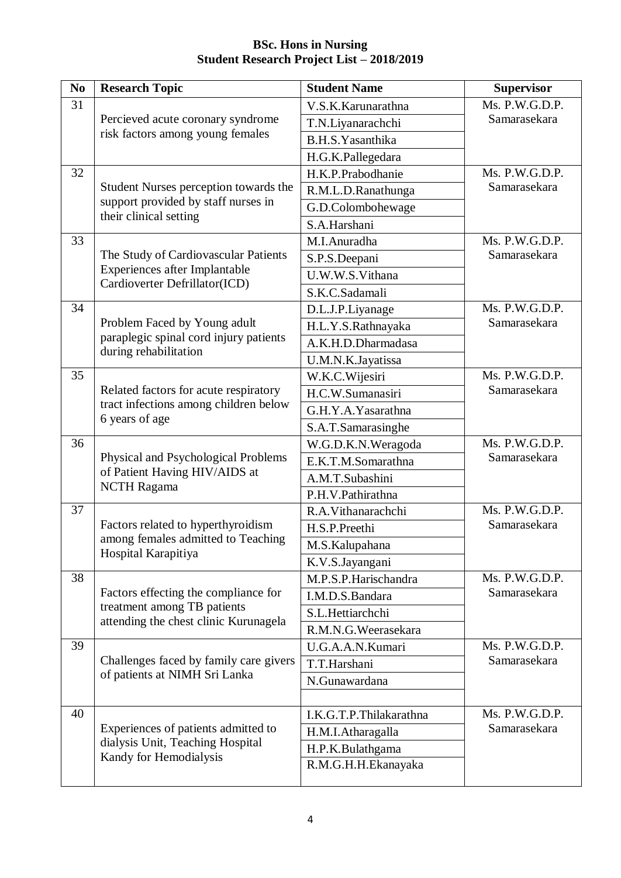| N <sub>0</sub> | <b>Research Topic</b>                                                                            | <b>Student Name</b>     | <b>Supervisor</b>                   |
|----------------|--------------------------------------------------------------------------------------------------|-------------------------|-------------------------------------|
| 31             |                                                                                                  | V.S.K.Karunarathna      | $\overline{\text{Ms}}$ . P.W.G.D.P. |
|                | Percieved acute coronary syndrome                                                                | T.N.Liyanarachchi       | Samarasekara                        |
|                | risk factors among young females                                                                 | B.H.S.Yasanthika        |                                     |
|                |                                                                                                  | H.G.K.Pallegedara       |                                     |
| 32             |                                                                                                  | H.K.P.Prabodhanie       | Ms. P.W.G.D.P.                      |
|                | Student Nurses perception towards the                                                            | R.M.L.D.Ranathunga      | Samarasekara                        |
|                | support provided by staff nurses in                                                              | G.D.Colombohewage       |                                     |
|                | their clinical setting                                                                           | S.A.Harshani            |                                     |
| 33             |                                                                                                  | M.I.Anuradha            | Ms. P.W.G.D.P.                      |
|                | The Study of Cardiovascular Patients                                                             | S.P.S.Deepani           | Samarasekara                        |
|                | Experiences after Implantable                                                                    | U.W.W.S.Vithana         |                                     |
|                | Cardioverter Defrillator(ICD)                                                                    | S.K.C.Sadamali          |                                     |
| 34             |                                                                                                  | D.L.J.P.Liyanage        | Ms. P.W.G.D.P.                      |
|                | Problem Faced by Young adult                                                                     | H.L.Y.S.Rathnayaka      | Samarasekara                        |
|                | paraplegic spinal cord injury patients                                                           | A.K.H.D.Dharmadasa      |                                     |
|                | during rehabilitation                                                                            | U.M.N.K.Jayatissa       |                                     |
| 35             |                                                                                                  | W.K.C.Wijesiri          | Ms. P.W.G.D.P.                      |
|                | Related factors for acute respiratory<br>tract infections among children below<br>6 years of age | H.C.W.Sumanasiri        | Samarasekara                        |
|                |                                                                                                  | G.H.Y.A.Yasarathna      |                                     |
|                |                                                                                                  | S.A.T.Samarasinghe      |                                     |
| 36             |                                                                                                  | W.G.D.K.N.Weragoda      | Ms. P.W.G.D.P.                      |
|                | Physical and Psychological Problems                                                              | E.K.T.M.Somarathna      | Samarasekara                        |
|                | of Patient Having HIV/AIDS at                                                                    | A.M.T.Subashini         |                                     |
|                | <b>NCTH Ragama</b>                                                                               | P.H.V.Pathirathna       |                                     |
| 37             |                                                                                                  | R.A.Vithanarachchi      | Ms. P.W.G.D.P.                      |
|                | Factors related to hyperthyroidism                                                               | H.S.P.Preethi           | Samarasekara                        |
|                | among females admitted to Teaching<br>Hospital Karapitiya                                        | M.S.Kalupahana          |                                     |
|                |                                                                                                  | K.V.S.Jayangani         |                                     |
| 38             |                                                                                                  | M.P.S.P.Harischandra    | Ms. P.W.G.D.P.                      |
|                | Factors effecting the compliance for                                                             | I.M.D.S.Bandara         | Samarasekara                        |
|                | treatment among TB patients<br>attending the chest clinic Kurunagela                             | S.L.Hettiarchchi        |                                     |
|                |                                                                                                  | R.M.N.G.Weerasekara     |                                     |
| 39             |                                                                                                  | U.G.A.A.N.Kumari        | Ms. P.W.G.D.P.                      |
|                | Challenges faced by family care givers                                                           | T.T.Harshani            | Samarasekara                        |
|                | of patients at NIMH Sri Lanka                                                                    | N.Gunawardana           |                                     |
|                |                                                                                                  |                         |                                     |
| 40             |                                                                                                  | I.K.G.T.P.Thilakarathna | Ms. P.W.G.D.P.                      |
|                | Experiences of patients admitted to<br>dialysis Unit, Teaching Hospital                          | H.M.I.Atharagalla       | Samarasekara                        |
|                |                                                                                                  | H.P.K.Bulathgama        |                                     |
|                | Kandy for Hemodialysis                                                                           | R.M.G.H.H.Ekanayaka     |                                     |
|                |                                                                                                  |                         |                                     |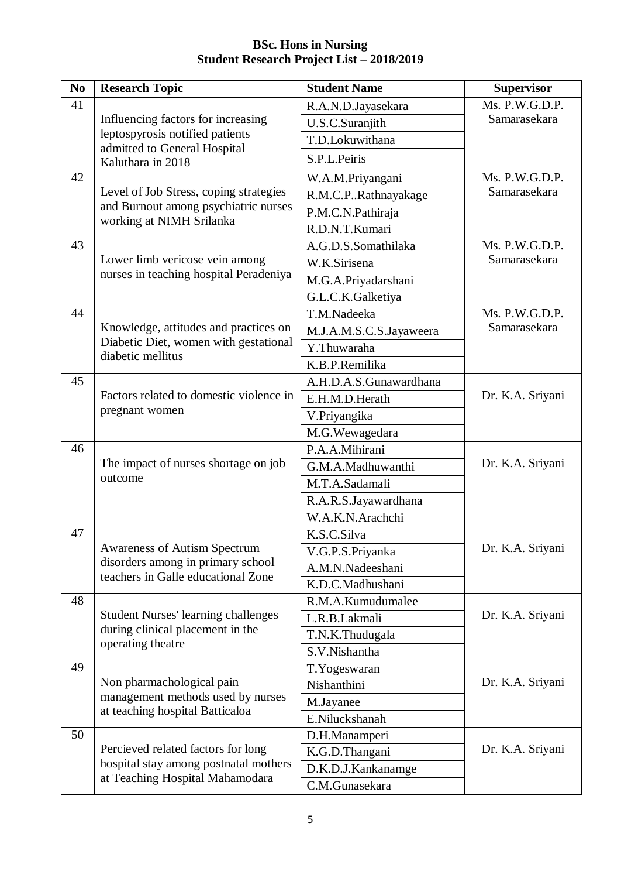| N <sub>0</sub> | <b>Research Topic</b>                                                                                          | <b>Student Name</b>     | <b>Supervisor</b> |
|----------------|----------------------------------------------------------------------------------------------------------------|-------------------------|-------------------|
| 41             |                                                                                                                | R.A.N.D.Jayasekara      | Ms. P.W.G.D.P.    |
|                | Influencing factors for increasing                                                                             | U.S.C.Suranjith         | Samarasekara      |
|                | leptospyrosis notified patients                                                                                | T.D.Lokuwithana         |                   |
|                | admitted to General Hospital<br>Kaluthara in 2018                                                              | S.P.L.Peiris            |                   |
| 42             |                                                                                                                | W.A.M.Priyangani        | Ms. P.W.G.D.P.    |
|                | Level of Job Stress, coping strategies                                                                         | R.M.C.PRathnayakage     | Samarasekara      |
|                | and Burnout among psychiatric nurses                                                                           | P.M.C.N.Pathiraja       |                   |
|                | working at NIMH Srilanka                                                                                       | R.D.N.T.Kumari          |                   |
| 43             |                                                                                                                | A.G.D.S.Somathilaka     | Ms. P.W.G.D.P.    |
|                | Lower limb vericose vein among                                                                                 | W.K.Sirisena            | Samarasekara      |
|                | nurses in teaching hospital Peradeniya                                                                         | M.G.A.Priyadarshani     |                   |
|                |                                                                                                                | G.L.C.K.Galketiya       |                   |
| 44             |                                                                                                                | T.M.Nadeeka             | Ms. P.W.G.D.P.    |
|                | Knowledge, attitudes and practices on                                                                          | M.J.A.M.S.C.S.Jayaweera | Samarasekara      |
|                | Diabetic Diet, women with gestational                                                                          | Y.Thuwaraha             |                   |
|                | diabetic mellitus                                                                                              | K.B.P.Remilika          |                   |
| 45             |                                                                                                                | A.H.D.A.S.Gunawardhana  |                   |
|                | Factors related to domestic violence in<br>pregnant women                                                      | E.H.M.D.Herath          | Dr. K.A. Sriyani  |
|                |                                                                                                                | V.Priyangika            |                   |
|                |                                                                                                                | M.G. Wewagedara         |                   |
| 46             |                                                                                                                | P.A.A.Mihirani          |                   |
|                | The impact of nurses shortage on job                                                                           | G.M.A.Madhuwanthi       | Dr. K.A. Sriyani  |
|                | outcome                                                                                                        | M.T.A.Sadamali          |                   |
|                |                                                                                                                | R.A.R.S.Jayawardhana    |                   |
|                |                                                                                                                | W.A.K.N.Arachchi        |                   |
| 47             |                                                                                                                | K.S.C.Silva             |                   |
|                | <b>Awareness of Autism Spectrum</b>                                                                            | V.G.P.S.Priyanka        | Dr. K.A. Sriyani  |
|                | disorders among in primary school<br>teachers in Galle educational Zone                                        | A.M.N.Nadeeshani        |                   |
|                |                                                                                                                | K.D.C.Madhushani        |                   |
| 48             |                                                                                                                | R.M.A.Kumudumalee       |                   |
|                | <b>Student Nurses' learning challenges</b>                                                                     | L.R.B.Lakmali           | Dr. K.A. Sriyani  |
|                | during clinical placement in the<br>operating theatre                                                          | T.N.K.Thudugala         |                   |
|                |                                                                                                                | S.V.Nishantha           |                   |
| 49             |                                                                                                                | T.Yogeswaran            |                   |
|                | Non pharmachological pain<br>management methods used by nurses                                                 | Nishanthini             | Dr. K.A. Sriyani  |
|                | at teaching hospital Batticaloa                                                                                | M.Jayanee               |                   |
|                |                                                                                                                | E.Niluckshanah          |                   |
| 50             |                                                                                                                | D.H.Manamperi           |                   |
|                | Percieved related factors for long<br>hospital stay among postnatal mothers<br>at Teaching Hospital Mahamodara | K.G.D.Thangani          | Dr. K.A. Sriyani  |
|                |                                                                                                                | D.K.D.J.Kankanamge      |                   |
|                |                                                                                                                | C.M.Gunasekara          |                   |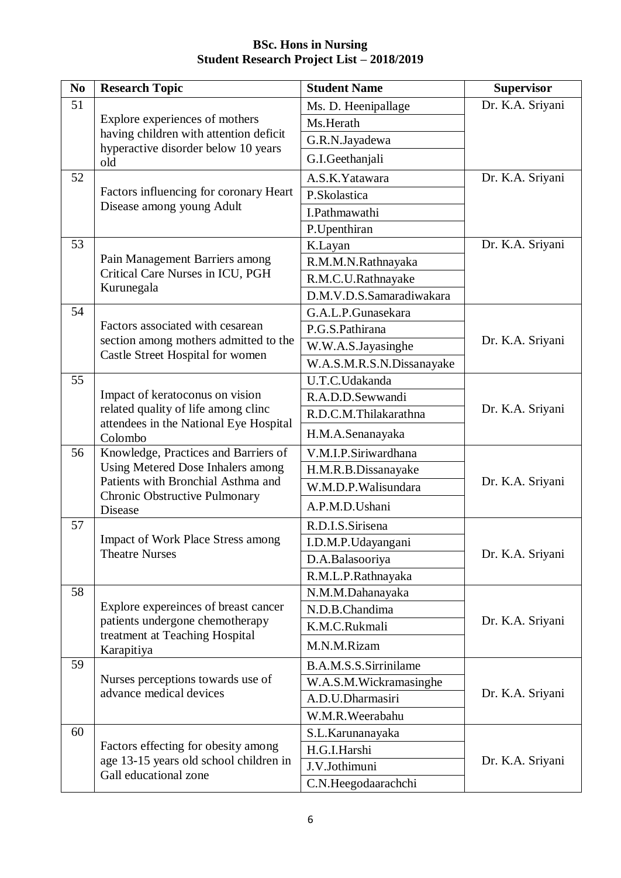| N <sub>0</sub> | <b>Research Topic</b>                                                                                                       | <b>Student Name</b>       | <b>Supervisor</b> |
|----------------|-----------------------------------------------------------------------------------------------------------------------------|---------------------------|-------------------|
| 51             |                                                                                                                             | Ms. D. Heenipallage       | Dr. K.A. Sriyani  |
|                | Explore experiences of mothers                                                                                              | Ms.Herath                 |                   |
|                | having children with attention deficit                                                                                      | G.R.N.Jayadewa            |                   |
|                | hyperactive disorder below 10 years<br>old                                                                                  | G.I.Geethanjali           |                   |
| 52             |                                                                                                                             | A.S.K.Yatawara            | Dr. K.A. Sriyani  |
|                | Factors influencing for coronary Heart                                                                                      | P.Skolastica              |                   |
|                | Disease among young Adult                                                                                                   | I.Pathmawathi             |                   |
|                |                                                                                                                             | P.Upenthiran              |                   |
| 53             |                                                                                                                             | K.Layan                   | Dr. K.A. Sriyani  |
|                | Pain Management Barriers among                                                                                              | R.M.M.N.Rathnayaka        |                   |
|                | Critical Care Nurses in ICU, PGH                                                                                            | R.M.C.U.Rathnayake        |                   |
|                | Kurunegala                                                                                                                  | D.M.V.D.S.Samaradiwakara  |                   |
| 54             |                                                                                                                             | G.A.L.P.Gunasekara        |                   |
|                | Factors associated with cesarean                                                                                            | P.G.S.Pathirana           |                   |
|                | section among mothers admitted to the                                                                                       | W.W.A.S.Jayasinghe        | Dr. K.A. Sriyani  |
|                | Castle Street Hospital for women                                                                                            | W.A.S.M.R.S.N.Dissanayake |                   |
| 55             |                                                                                                                             | U.T.C.Udakanda            |                   |
|                | Impact of keratoconus on vision<br>related quality of life among clinc<br>attendees in the National Eye Hospital<br>Colombo | R.A.D.D.Sewwandi          |                   |
|                |                                                                                                                             | R.D.C.M.Thilakarathna     | Dr. K.A. Sriyani  |
|                |                                                                                                                             | H.M.A.Senanayaka          |                   |
| 56             | Knowledge, Practices and Barriers of                                                                                        | V.M.I.P.Siriwardhana      |                   |
|                | Using Metered Dose Inhalers among                                                                                           | H.M.R.B.Dissanayake       |                   |
|                | Patients with Bronchial Asthma and                                                                                          | W.M.D.P.Walisundara       | Dr. K.A. Sriyani  |
|                | Chronic Obstructive Pulmonary<br><b>Disease</b>                                                                             | A.P.M.D.Ushani            |                   |
| 57             |                                                                                                                             | R.D.I.S.Sirisena          |                   |
|                | <b>Impact of Work Place Stress among</b>                                                                                    | I.D.M.P.Udayangani        |                   |
|                | <b>Theatre Nurses</b>                                                                                                       | D.A.Balasooriya           | Dr. K.A. Sriyani  |
|                |                                                                                                                             | R.M.L.P.Rathnayaka        |                   |
| 58             |                                                                                                                             | N.M.M.Dahanayaka          |                   |
|                | Explore expereinces of breast cancer                                                                                        | N.D.B.Chandima            |                   |
|                | patients undergone chemotherapy<br>treatment at Teaching Hospital                                                           | K.M.C.Rukmali             | Dr. K.A. Sriyani  |
|                | Karapitiya                                                                                                                  | M.N.M.Rizam               |                   |
| 59             |                                                                                                                             | B.A.M.S.S.Sirrinilame     |                   |
|                | Nurses perceptions towards use of                                                                                           | W.A.S.M.Wickramasinghe    |                   |
|                | advance medical devices                                                                                                     | A.D.U.Dharmasiri          | Dr. K.A. Sriyani  |
|                |                                                                                                                             | W.M.R.Weerabahu           |                   |
| 60             |                                                                                                                             | S.L. Karunanayaka         |                   |
|                | Factors effecting for obesity among                                                                                         | H.G.I.Harshi              | Dr. K.A. Sriyani  |
|                | age 13-15 years old school children in<br>Gall educational zone                                                             | J.V.Jothimuni             |                   |
|                |                                                                                                                             | C.N.Heegodaarachchi       |                   |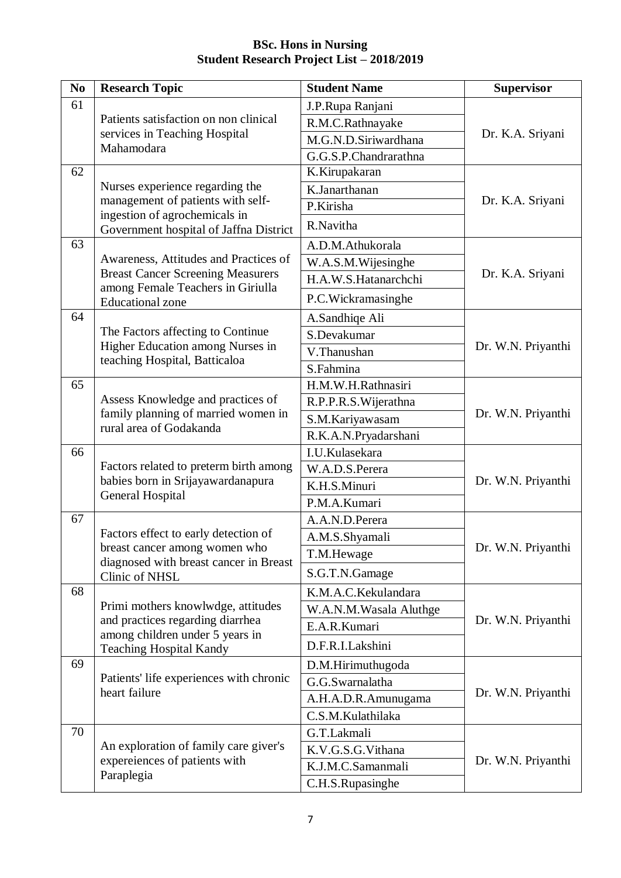| N <sub>0</sub> | <b>Research Topic</b>                                                   | <b>Student Name</b>    | <b>Supervisor</b>  |
|----------------|-------------------------------------------------------------------------|------------------------|--------------------|
| 61             |                                                                         | J.P.Rupa Ranjani       |                    |
|                | Patients satisfaction on non clinical                                   | R.M.C.Rathnayake       |                    |
|                | services in Teaching Hospital                                           | M.G.N.D.Siriwardhana   | Dr. K.A. Sriyani   |
|                | Mahamodara                                                              | G.G.S.P.Chandrarathna  |                    |
| 62             |                                                                         | K.Kirupakaran          |                    |
|                | Nurses experience regarding the                                         | K.Janarthanan          |                    |
|                | management of patients with self-<br>ingestion of agrochemicals in      | P.Kirisha              | Dr. K.A. Sriyani   |
|                | Government hospital of Jaffna District                                  | R.Navitha              |                    |
| 63             |                                                                         | A.D.M.Athukorala       |                    |
|                | Awareness, Attitudes and Practices of                                   | W.A.S.M.Wijesinghe     |                    |
|                | <b>Breast Cancer Screening Measurers</b>                                | H.A.W.S.Hatanarchchi   | Dr. K.A. Sriyani   |
|                | among Female Teachers in Giriulla<br><b>Educational</b> zone            | P.C.Wickramasinghe     |                    |
| 64             |                                                                         | A.Sandhiqe Ali         |                    |
|                | The Factors affecting to Continue                                       | S.Devakumar            |                    |
|                | Higher Education among Nurses in                                        | V.Thanushan            | Dr. W.N. Priyanthi |
|                | teaching Hospital, Batticaloa                                           | S.Fahmina              |                    |
| 65             |                                                                         | H.M.W.H.Rathnasiri     |                    |
|                | Assess Knowledge and practices of                                       | R.P.P.R.S. Wijerathna  |                    |
|                | family planning of married women in<br>rural area of Godakanda          | S.M.Kariyawasam        | Dr. W.N. Priyanthi |
|                |                                                                         | R.K.A.N.Pryadarshani   |                    |
| 66             |                                                                         | I.U.Kulasekara         |                    |
|                | Factors related to preterm birth among                                  | W.A.D.S.Perera         |                    |
|                | babies born in Srijayawardanapura<br>General Hospital                   | K.H.S.Minuri           | Dr. W.N. Priyanthi |
|                |                                                                         | P.M.A.Kumari           |                    |
| 67             |                                                                         | A.A.N.D.Perera         |                    |
|                | Factors effect to early detection of                                    | A.M.S.Shyamali         |                    |
|                | breast cancer among women who<br>diagnosed with breast cancer in Breast | T.M.Hewage             | Dr. W.N. Priyanthi |
|                | Clinic of NHSL                                                          | S.G.T.N.Gamage         |                    |
| 68             |                                                                         | K.M.A.C.Kekulandara    |                    |
|                | Primi mothers knowlwdge, attitudes                                      | W.A.N.M.Wasala Aluthge |                    |
|                | and practices regarding diarrhea<br>among children under 5 years in     | E.A.R.Kumari           | Dr. W.N. Priyanthi |
|                | <b>Teaching Hospital Kandy</b>                                          | D.F.R.I.Lakshini       |                    |
| 69             |                                                                         | D.M.Hirimuthugoda      |                    |
|                | Patients' life experiences with chronic<br>heart failure                | G.G.Swarnalatha        |                    |
|                |                                                                         | A.H.A.D.R.Amunugama    | Dr. W.N. Priyanthi |
|                |                                                                         | C.S.M.Kulathilaka      |                    |
| 70             |                                                                         | G.T.Lakmali            |                    |
|                | An exploration of family care giver's                                   | K.V.G.S.G.Vithana      |                    |
|                | expereiences of patients with<br>Paraplegia                             | K.J.M.C.Samanmali      | Dr. W.N. Priyanthi |
|                |                                                                         | C.H.S.Rupasinghe       |                    |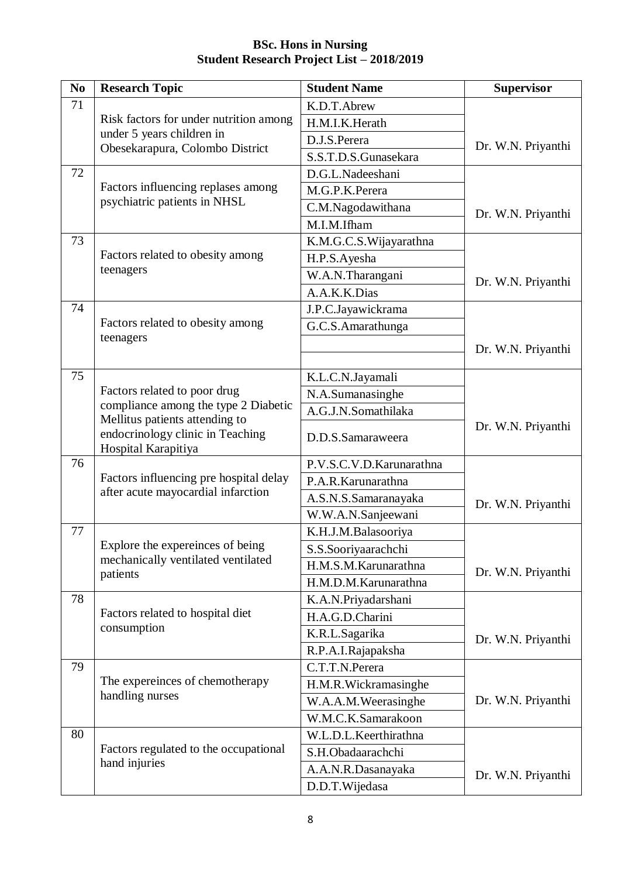| N <sub>0</sub> | <b>Research Topic</b>                                                                     | <b>Student Name</b>      | <b>Supervisor</b>  |
|----------------|-------------------------------------------------------------------------------------------|--------------------------|--------------------|
| 71             |                                                                                           | K.D.T.Abrew              |                    |
|                | Risk factors for under nutrition among                                                    | H.M.I.K.Herath           |                    |
|                | under 5 years children in                                                                 | D.J.S.Perera             | Dr. W.N. Priyanthi |
|                | Obesekarapura, Colombo District                                                           | S.S.T.D.S.Gunasekara     |                    |
| 72             |                                                                                           | D.G.L.Nadeeshani         |                    |
|                | Factors influencing replases among                                                        | M.G.P.K.Perera           |                    |
|                | psychiatric patients in NHSL                                                              | C.M.Nagodawithana        | Dr. W.N. Priyanthi |
|                |                                                                                           | M.I.M.Ifham              |                    |
| 73             |                                                                                           | K.M.G.C.S. Wijayarathna  |                    |
|                | Factors related to obesity among                                                          | H.P.S.Ayesha             |                    |
|                | teenagers                                                                                 | W.A.N.Tharangani         | Dr. W.N. Priyanthi |
|                |                                                                                           | A.A.K.K.Dias             |                    |
| 74             |                                                                                           | J.P.C.Jayawickrama       |                    |
|                | Factors related to obesity among                                                          | G.C.S.Amarathunga        |                    |
|                | teenagers                                                                                 |                          | Dr. W.N. Priyanthi |
|                |                                                                                           |                          |                    |
| 75             |                                                                                           | K.L.C.N.Jayamali         |                    |
|                | Factors related to poor drug                                                              | N.A.Sumanasinghe         |                    |
|                | compliance among the type 2 Diabetic                                                      | A.G.J.N.Somathilaka      |                    |
|                | Mellitus patients attending to<br>endocrinology clinic in Teaching<br>Hospital Karapitiya | D.D.S.Samaraweera        | Dr. W.N. Priyanthi |
| 76             |                                                                                           | P.V.S.C.V.D.Karunarathna |                    |
|                | Factors influencing pre hospital delay                                                    | P.A.R.Karunarathna       |                    |
|                | after acute mayocardial infarction                                                        | A.S.N.S.Samaranayaka     | Dr. W.N. Priyanthi |
|                |                                                                                           | W.W.A.N.Sanjeewani       |                    |
| 77             |                                                                                           | K.H.J.M.Balasooriya      |                    |
|                | Explore the expereinces of being                                                          | S.S.Sooriyaarachchi      |                    |
|                | mechanically ventilated ventilated                                                        | H.M.S.M.Karunarathna     | Dr. W.N. Priyanthi |
|                | patients                                                                                  | H.M.D.M.Karunarathna     |                    |
| 78             |                                                                                           | K.A.N.Priyadarshani      |                    |
|                | Factors related to hospital diet                                                          | H.A.G.D.Charini          |                    |
|                | consumption                                                                               | K.R.L.Sagarika           | Dr. W.N. Priyanthi |
|                |                                                                                           | R.P.A.I.Rajapaksha       |                    |
| 79             |                                                                                           | C.T.T.N.Perera           |                    |
|                | The expereinces of chemotherapy                                                           | H.M.R.Wickramasinghe     |                    |
|                | handling nurses                                                                           | W.A.A.M.Weerasinghe      | Dr. W.N. Priyanthi |
|                |                                                                                           | W.M.C.K.Samarakoon       |                    |
| 80             |                                                                                           | W.L.D.L.Keerthirathna    |                    |
|                | Factors regulated to the occupational                                                     | S.H.Obadaarachchi        |                    |
|                | hand injuries                                                                             | A.A.N.R.Dasanayaka       | Dr. W.N. Priyanthi |
|                |                                                                                           | D.D.T.Wijedasa           |                    |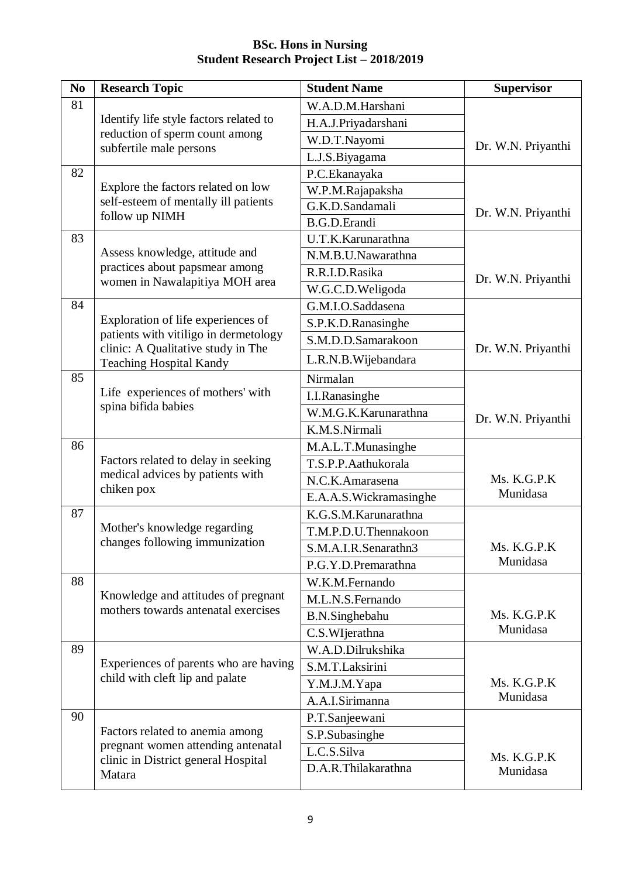| N <sub>0</sub> | <b>Research Topic</b>                                                                                                  | <b>Student Name</b>           | <b>Supervisor</b>  |
|----------------|------------------------------------------------------------------------------------------------------------------------|-------------------------------|--------------------|
| 81             |                                                                                                                        | W.A.D.M.Harshani              |                    |
|                | Identify life style factors related to                                                                                 | H.A.J.Priyadarshani           |                    |
|                | reduction of sperm count among<br>subfertile male persons                                                              | W.D.T.Nayomi                  | Dr. W.N. Priyanthi |
|                |                                                                                                                        | L.J.S.Biyagama                |                    |
| 82             |                                                                                                                        | P.C.Ekanayaka                 |                    |
|                | Explore the factors related on low                                                                                     | W.P.M.Rajapaksha              |                    |
|                | self-esteem of mentally ill patients                                                                                   | $\overline{G}$ .K.D.Sandamali | Dr. W.N. Priyanthi |
|                | follow up NIMH                                                                                                         | <b>B.G.D.Erandi</b>           |                    |
| 83             |                                                                                                                        | U.T.K.Karunarathna            |                    |
|                | Assess knowledge, attitude and                                                                                         | N.M.B.U.Nawarathna            |                    |
|                | practices about papsmear among                                                                                         | R.R.I.D.Rasika                | Dr. W.N. Priyanthi |
|                | women in Nawalapitiya MOH area                                                                                         | W.G.C.D.Weligoda              |                    |
| 84             |                                                                                                                        | G.M.I.O.Saddasena             |                    |
|                | Exploration of life experiences of                                                                                     | S.P.K.D.Ranasinghe            |                    |
|                | patients with vitiligo in dermetology<br>clinic: A Qualitative study in The                                            | S.M.D.D.Samarakoon            |                    |
|                | <b>Teaching Hospital Kandy</b>                                                                                         | L.R.N.B. Wijebandara          | Dr. W.N. Priyanthi |
| 85             |                                                                                                                        | Nirmalan                      |                    |
|                | Life experiences of mothers' with<br>spina bifida babies                                                               | I.I.Ranasinghe                |                    |
|                |                                                                                                                        | W.M.G.K.Karunarathna          | Dr. W.N. Priyanthi |
|                |                                                                                                                        | K.M.S.Nirmali                 |                    |
| 86             |                                                                                                                        | M.A.L.T.Munasinghe            |                    |
|                | Factors related to delay in seeking                                                                                    | T.S.P.P.Aathukorala           |                    |
|                | medical advices by patients with                                                                                       | N.C.K.Amarasena               | Ms. K.G.P.K        |
|                | chiken pox                                                                                                             | E.A.A.S. Wickramasinghe       | Munidasa           |
| 87             |                                                                                                                        | K.G.S.M.Karunarathna          |                    |
|                | Mother's knowledge regarding                                                                                           | T.M.P.D.U.Thennakoon          |                    |
|                | changes following immunization                                                                                         | S.M.A.I.R.Senarathn3          | Ms. K.G.P.K        |
|                |                                                                                                                        | P.G.Y.D.Premarathna           | Munidasa           |
| 88             |                                                                                                                        | W.K.M.Fernando                |                    |
|                | Knowledge and attitudes of pregnant                                                                                    | M.L.N.S.Fernando              |                    |
|                | mothers towards antenatal exercises                                                                                    | B.N.Singhebahu                | Ms. K.G.P.K        |
|                |                                                                                                                        | C.S.WIjerathna                | Munidasa           |
| 89             |                                                                                                                        | W.A.D.Dilrukshika             |                    |
|                | Experiences of parents who are having                                                                                  | S.M.T.Laksirini               |                    |
|                | child with cleft lip and palate                                                                                        | Y.M.J.M.Yapa                  | Ms. K.G.P.K        |
|                |                                                                                                                        | A.A.I.Sirimanna               | Munidasa           |
| 90             | Factors related to anemia among<br>pregnant women attending antenatal<br>clinic in District general Hospital<br>Matara | P.T.Sanjeewani                |                    |
|                |                                                                                                                        | S.P.Subasinghe                |                    |
|                |                                                                                                                        | L.C.S.Silva                   | Ms. K.G.P.K        |
|                |                                                                                                                        | D.A.R.Thilakarathna           | Munidasa           |
|                |                                                                                                                        |                               |                    |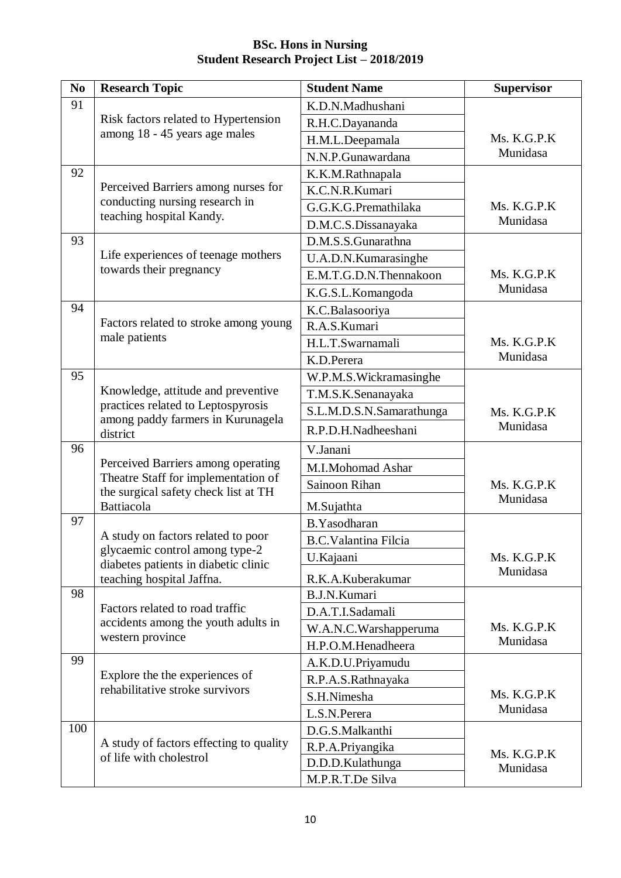| N <sub>0</sub> | <b>Research Topic</b>                              | <b>Student Name</b>                         | <b>Supervisor</b> |
|----------------|----------------------------------------------------|---------------------------------------------|-------------------|
| 91             |                                                    | K.D.N.Madhushani                            |                   |
|                | Risk factors related to Hypertension               | R.H.C.Dayananda                             |                   |
|                | among 18 - 45 years age males                      | H.M.L.Deepamala                             | Ms. K.G.P.K       |
|                |                                                    | N.N.P.Gunawardana                           | Munidasa          |
| 92             |                                                    | K.K.M.Rathnapala                            |                   |
|                | Perceived Barriers among nurses for                | K.C.N.R.Kumari                              |                   |
|                | conducting nursing research in                     | G.G.K.G.Premathilaka                        | Ms. K.G.P.K       |
|                | teaching hospital Kandy.                           | D.M.C.S.Dissanayaka                         | Munidasa          |
| 93             |                                                    | D.M.S.S.Gunarathna                          |                   |
|                | Life experiences of teenage mothers                | U.A.D.N.Kumarasinghe                        |                   |
|                | towards their pregnancy                            | E.M.T.G.D.N.Thennakoon                      | Ms. K.G.P.K       |
|                |                                                    | K.G.S.L.Komangoda                           | Munidasa          |
| 94             |                                                    | K.C.Balasooriya                             |                   |
|                | Factors related to stroke among young              | R.A.S.Kumari                                |                   |
|                | male patients                                      | H.L.T.Swarnamali                            | Ms. K.G.P.K       |
|                |                                                    | K.D.Perera                                  | Munidasa          |
| 95             |                                                    | W.P.M.S. Wickramasinghe                     |                   |
|                | Knowledge, attitude and preventive                 | T.M.S.K.Senanayaka                          |                   |
|                | practices related to Leptospyrosis                 | S.L.M.D.S.N.Samarathunga                    | Ms. K.G.P.K       |
|                | among paddy farmers in Kurunagela<br>district      | R.P.D.H.Nadheeshani                         | Munidasa          |
| 96             |                                                    | V.Janani                                    |                   |
|                | Perceived Barriers among operating                 | M.I.Mohomad Ashar                           |                   |
|                | Theatre Staff for implementation of                | Sainoon Rihan                               | Ms. K.G.P.K       |
|                | the surgical safety check list at TH<br>Battiacola | M.Sujathta                                  | Munidasa          |
| 97             |                                                    | B.Yasodharan                                |                   |
|                | A study on factors related to poor                 | <b>B.C.Valantina Filcia</b>                 |                   |
|                | glycaemic control among type-2                     | U.Kajaani                                   | Ms. K.G.P.K       |
|                | diabetes patients in diabetic clinic               |                                             | Munidasa          |
| 98             | teaching hospital Jaffna.                          | R.K.A.Kuberakumar<br><b>B.J.N.Kumari</b>    |                   |
|                | Factors related to road traffic                    | D.A.T.I.Sadamali                            |                   |
|                | accidents among the youth adults in                |                                             | Ms. K.G.P.K       |
|                | western province                                   | W.A.N.C.Warshapperuma<br>H.P.O.M.Henadheera | Munidasa          |
| 99             |                                                    |                                             |                   |
|                | Explore the the experiences of                     | A.K.D.U.Priyamudu                           |                   |
|                | rehabilitative stroke survivors                    | R.P.A.S.Rathnayaka<br>S.H.Nimesha           | Ms. K.G.P.K       |
|                |                                                    | L.S.N.Perera                                | Munidasa          |
| 100            |                                                    |                                             |                   |
|                | A study of factors effecting to quality            | D.G.S.Malkanthi<br>R.P.A.Priyangika         |                   |
|                | of life with cholestrol                            | D.D.D.Kulathunga                            | Ms. K.G.P.K       |
|                |                                                    | M.P.R.T.De Silva                            | Munidasa          |
|                |                                                    |                                             |                   |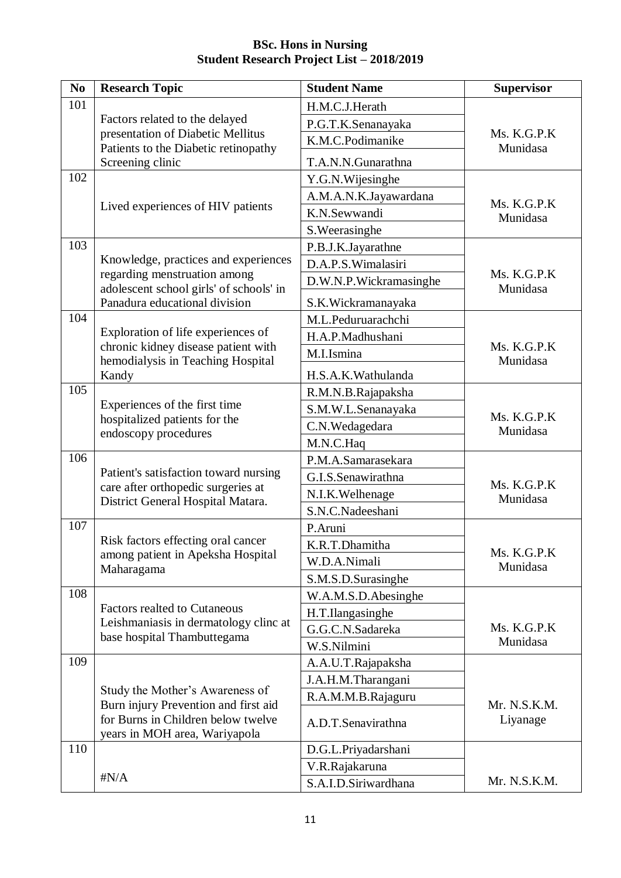| N <sub>0</sub> | <b>Research Topic</b>                                                        | <b>Student Name</b>    | <b>Supervisor</b>       |
|----------------|------------------------------------------------------------------------------|------------------------|-------------------------|
| 101            |                                                                              | H.M.C.J.Herath         |                         |
|                | Factors related to the delayed                                               | P.G.T.K.Senanayaka     |                         |
|                | presentation of Diabetic Mellitus                                            | K.M.C.Podimanike       | Ms. K.G.P.K             |
|                | Patients to the Diabetic retinopathy<br>Screening clinic                     | T.A.N.N.Gunarathna     | Munidasa                |
| 102            |                                                                              | Y.G.N. Wijesinghe      |                         |
|                |                                                                              | A.M.A.N.K.Jayawardana  |                         |
|                | Lived experiences of HIV patients                                            | K.N.Sewwandi           | Ms. K.G.P.K<br>Munidasa |
|                |                                                                              | S. Weerasinghe         |                         |
| 103            |                                                                              | P.B.J.K.Jayarathne     |                         |
|                | Knowledge, practices and experiences                                         | D.A.P.S. Wimalasiri    |                         |
|                | regarding menstruation among<br>adolescent school girls' of schools' in      | D.W.N.P.Wickramasinghe | Ms. K.G.P.K<br>Munidasa |
|                | Panadura educational division                                                | S.K.Wickramanayaka     |                         |
| 104            |                                                                              | M.L.Peduruarachchi     |                         |
|                | Exploration of life experiences of                                           | H.A.P.Madhushani       |                         |
|                | chronic kidney disease patient with<br>hemodialysis in Teaching Hospital     | M.I.Ismina             | Ms. K.G.P.K<br>Munidasa |
|                | Kandy                                                                        | H.S.A.K.Wathulanda     |                         |
| 105            |                                                                              | R.M.N.B.Rajapaksha     |                         |
|                | Experiences of the first time                                                | S.M.W.L.Senanayaka     | Ms. K.G.P.K             |
|                | hospitalized patients for the<br>endoscopy procedures                        | C.N.Wedagedara         | Munidasa                |
|                |                                                                              | M.N.C.Haq              |                         |
| 106            |                                                                              | P.M.A.Samarasekara     |                         |
|                | Patient's satisfaction toward nursing                                        | G.I.S.Senawirathna     | Ms. K.G.P.K             |
|                | care after orthopedic surgeries at<br>District General Hospital Matara.      | N.I.K. Welhenage       | Munidasa                |
|                |                                                                              | S.N.C.Nadeeshani       |                         |
| 107            |                                                                              | P.Aruni                |                         |
|                | Risk factors effecting oral cancer<br>among patient in Apeksha Hospital      | K.R.T.Dhamitha         | Ms. K.G.P.K             |
|                | Maharagama                                                                   | W.D.A.Nimali           | Munidasa                |
|                |                                                                              | S.M.S.D.Surasinghe     |                         |
| 108            |                                                                              | W.A.M.S.D.Abesinghe    |                         |
|                | <b>Factors realted to Cutaneous</b><br>Leishmaniasis in dermatology clinc at | H.T.Ilangasinghe       |                         |
|                | base hospital Thambuttegama                                                  | G.G.C.N.Sadareka       | Ms. K.G.P.K             |
|                |                                                                              | W.S.Nilmini            | Munidasa                |
| 109            |                                                                              | A.A.U.T.Rajapaksha     |                         |
|                | Study the Mother's Awareness of                                              | J.A.H.M.Tharangani     |                         |
|                | Burn injury Prevention and first aid                                         | R.A.M.M.B.Rajaguru     | Mr. N.S.K.M.            |
|                | for Burns in Children below twelve<br>years in MOH area, Wariyapola          | A.D.T.Senavirathna     | Liyanage                |
| 110            |                                                                              | D.G.L.Priyadarshani    |                         |
|                |                                                                              | V.R.Rajakaruna         |                         |
|                | $\sharp N/A$                                                                 | S.A.I.D.Siriwardhana   | Mr. N.S.K.M.            |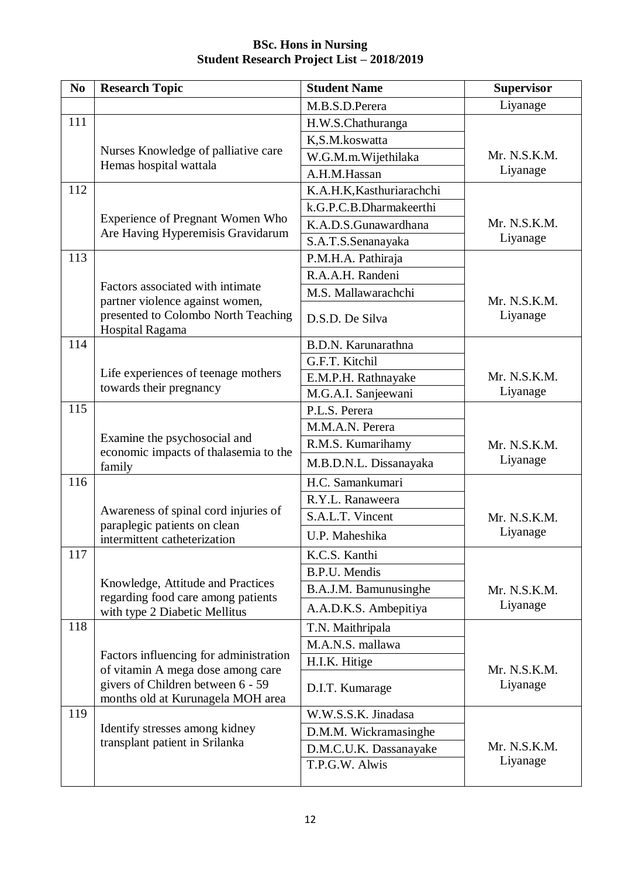| N <sub>0</sub> | <b>Research Topic</b>                                                                     | <b>Student Name</b>       | <b>Supervisor</b>        |
|----------------|-------------------------------------------------------------------------------------------|---------------------------|--------------------------|
|                |                                                                                           | M.B.S.D.Perera            | Liyanage                 |
| 111            |                                                                                           | H.W.S.Chathuranga         |                          |
|                |                                                                                           | K,S.M.koswatta            |                          |
|                | Nurses Knowledge of palliative care                                                       | W.G.M.m. Wijethilaka      | Mr. N.S.K.M.             |
|                | Hemas hospital wattala                                                                    | A.H.M.Hassan              | Liyanage                 |
| 112            |                                                                                           | K.A.H.K, Kasthuriarachchi |                          |
|                |                                                                                           | k.G.P.C.B.Dharmakeerthi   |                          |
|                | <b>Experience of Pregnant Women Who</b>                                                   | K.A.D.S.Gunawardhana      | Mr. N.S.K.M.             |
|                | Are Having Hyperemisis Gravidarum                                                         | S.A.T.S.Senanayaka        | Liyanage                 |
| 113            |                                                                                           | P.M.H.A. Pathiraja        |                          |
|                |                                                                                           | R.A.A.H. Randeni          |                          |
|                | Factors associated with intimate                                                          | M.S. Mallawarachchi       |                          |
|                | partner violence against women,<br>presented to Colombo North Teaching<br>Hospital Ragama | D.S.D. De Silva           | Mr. N.S.K.M.<br>Liyanage |
| 114            |                                                                                           | B.D.N. Karunarathna       |                          |
|                |                                                                                           | G.F.T. Kitchil            |                          |
|                | Life experiences of teenage mothers                                                       | E.M.P.H. Rathnayake       | Mr. N.S.K.M.             |
|                | towards their pregnancy                                                                   | M.G.A.I. Sanjeewani       | Liyanage                 |
| 115            |                                                                                           | P.L.S. Perera             |                          |
|                |                                                                                           | M.M.A.N. Perera           |                          |
|                | Examine the psychosocial and<br>economic impacts of thalasemia to the                     | R.M.S. Kumarihamy         | Mr. N.S.K.M.<br>Liyanage |
|                | family                                                                                    | M.B.D.N.L. Dissanayaka    |                          |
| 116            |                                                                                           | H.C. Samankumari          |                          |
|                |                                                                                           | R.Y.L. Ranaweera          |                          |
|                | Awareness of spinal cord injuries of                                                      | S.A.L.T. Vincent          | Mr. N.S.K.M.             |
|                | paraplegic patients on clean<br>intermittent catheterization                              | U.P. Maheshika            | Liyanage                 |
| 117            |                                                                                           | K.C.S. Kanthi             |                          |
|                |                                                                                           | <b>B.P.U.</b> Mendis      |                          |
|                | Knowledge, Attitude and Practices<br>regarding food care among patients                   | B.A.J.M. Bamunusinghe     | Mr. N.S.K.M.             |
|                | with type 2 Diabetic Mellitus                                                             | A.A.D.K.S. Ambepitiya     | Liyanage                 |
| 118            |                                                                                           | T.N. Maithripala          |                          |
|                |                                                                                           | M.A.N.S. mallawa          |                          |
|                | Factors influencing for administration<br>of vitamin A mega dose among care               | H.I.K. Hitige             | Mr. N.S.K.M.             |
|                | givers of Children between 6 - 59<br>months old at Kurunagela MOH area                    | D.I.T. Kumarage           | Liyanage                 |
| 119            |                                                                                           | W.W.S.S.K. Jinadasa       |                          |
|                | Identify stresses among kidney                                                            | D.M.M. Wickramasinghe     |                          |
|                | transplant patient in Srilanka                                                            | D.M.C.U.K. Dassanayake    | Mr. N.S.K.M.             |
|                |                                                                                           | T.P.G.W. Alwis            | Liyanage                 |
|                |                                                                                           |                           |                          |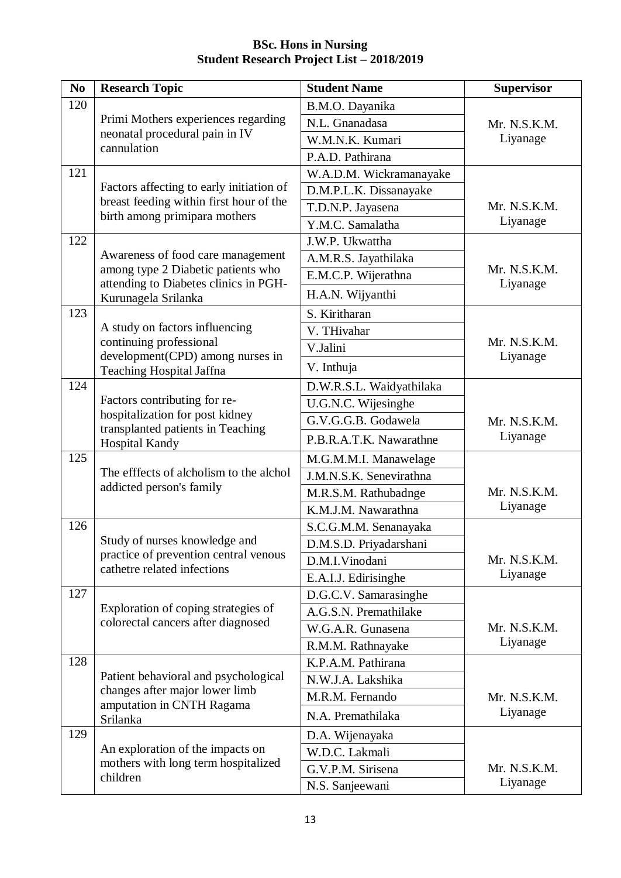| N <sub>0</sub> | <b>Research Topic</b>                                                                                                | <b>Student Name</b>      | <b>Supervisor</b>        |
|----------------|----------------------------------------------------------------------------------------------------------------------|--------------------------|--------------------------|
| 120            |                                                                                                                      | B.M.O. Dayanika          |                          |
|                | Primi Mothers experiences regarding<br>neonatal procedural pain in IV<br>cannulation                                 | N.L. Gnanadasa           | Mr. N.S.K.M.<br>Liyanage |
|                |                                                                                                                      | W.M.N.K. Kumari          |                          |
|                |                                                                                                                      | P.A.D. Pathirana         |                          |
| 121            | Factors affecting to early initiation of<br>breast feeding within first hour of the<br>birth among primipara mothers | W.A.D.M. Wickramanayake  | Mr. N.S.K.M.<br>Liyanage |
|                |                                                                                                                      | D.M.P.L.K. Dissanayake   |                          |
|                |                                                                                                                      | T.D.N.P. Jayasena        |                          |
|                |                                                                                                                      | Y.M.C. Samalatha         |                          |
| 122            | Awareness of food care management                                                                                    | J.W.P. Ukwattha          | Mr. N.S.K.M.<br>Liyanage |
|                |                                                                                                                      | A.M.R.S. Jayathilaka     |                          |
|                | among type 2 Diabetic patients who<br>attending to Diabetes clinics in PGH-                                          | E.M.C.P. Wijerathna      |                          |
|                | Kurunagela Srilanka                                                                                                  | H.A.N. Wijyanthi         |                          |
| 123            |                                                                                                                      | S. Kiritharan            |                          |
|                | A study on factors influencing                                                                                       | V. THivahar              |                          |
|                | continuing professional<br>development(CPD) among nurses in                                                          | V.Jalini                 | Mr. N.S.K.M.<br>Liyanage |
|                | Teaching Hospital Jaffna                                                                                             | V. Inthuja               |                          |
| 124            |                                                                                                                      | D.W.R.S.L. Waidyathilaka | Mr. N.S.K.M.<br>Liyanage |
|                | Factors contributing for re-                                                                                         | U.G.N.C. Wijesinghe      |                          |
|                | hospitalization for post kidney                                                                                      | G.V.G.G.B. Godawela      |                          |
|                | transplanted patients in Teaching<br>Hospital Kandy                                                                  | P.B.R.A.T.K. Nawarathne  |                          |
| 125            |                                                                                                                      | M.G.M.M.I. Manawelage    |                          |
|                | The efffects of alcholism to the alchol                                                                              | J.M.N.S.K. Senevirathna  |                          |
|                | addicted person's family                                                                                             | M.R.S.M. Rathubadnge     | Mr. N.S.K.M.<br>Liyanage |
|                |                                                                                                                      | K.M.J.M. Nawarathna      |                          |
| 126            | Study of nurses knowledge and                                                                                        | S.C.G.M.M. Senanayaka    | Mr. N.S.K.M.<br>Liyanage |
|                |                                                                                                                      | D.M.S.D. Priyadarshani   |                          |
|                | practice of prevention central venous<br>cathetre related infections                                                 | D.M.I.Vinodani           |                          |
|                |                                                                                                                      | E.A.I.J. Edirisinghe     |                          |
| 127            | Exploration of coping strategies of<br>colorectal cancers after diagnosed                                            | D.G.C.V. Samarasinghe    |                          |
|                |                                                                                                                      | A.G.S.N. Premathilake    | Mr. N.S.K.M.<br>Liyanage |
|                |                                                                                                                      | W.G.A.R. Gunasena        |                          |
|                |                                                                                                                      | R.M.M. Rathnayake        |                          |
| 128            | Patient behavioral and psychological<br>changes after major lower limb<br>amputation in CNTH Ragama<br>Srilanka      | K.P.A.M. Pathirana       | Mr. N.S.K.M.<br>Liyanage |
|                |                                                                                                                      | N.W.J.A. Lakshika        |                          |
|                |                                                                                                                      | M.R.M. Fernando          |                          |
|                |                                                                                                                      | N.A. Premathilaka        |                          |
| 129            | An exploration of the impacts on<br>mothers with long term hospitalized<br>children                                  | D.A. Wijenayaka          |                          |
|                |                                                                                                                      | W.D.C. Lakmali           | Mr. N.S.K.M.<br>Liyanage |
|                |                                                                                                                      | G.V.P.M. Sirisena        |                          |
|                |                                                                                                                      | N.S. Sanjeewani          |                          |